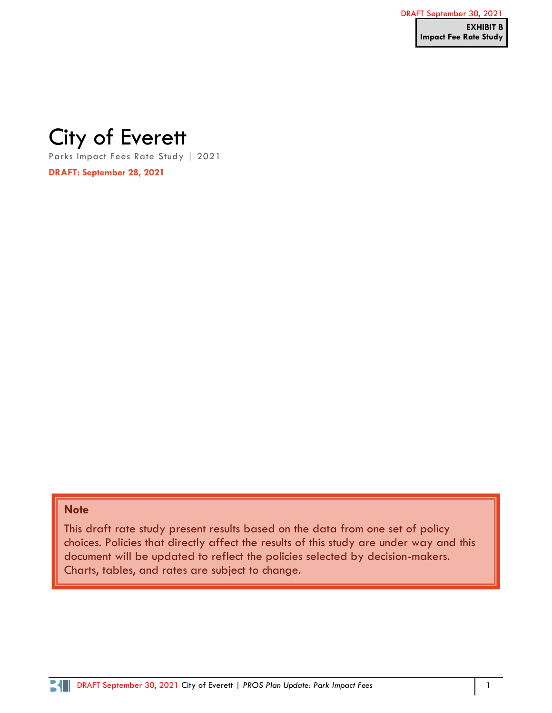# City of Everett

Parks Impact Fees Rate Study | 2021

**DRAFT: September 28, 2021**

## **Note**

This draft rate study present results based on the data from one set of policy choices. Policies that directly affect the results of this study are under way and this document will be updated to reflect the policies selected by decision-makers. Charts, tables, and rates are subject to change.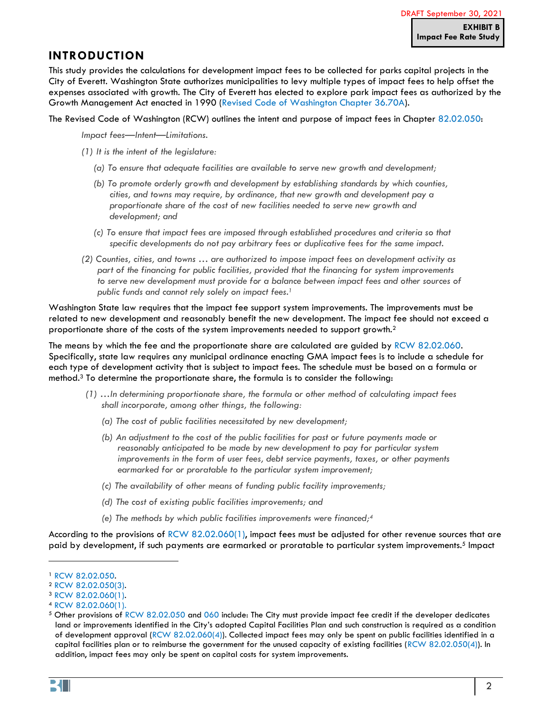## <span id="page-1-0"></span>**INTRODUCTION**

This study provides the calculations for development impact fees to be collected for parks capital projects in the City of Everett. Washington State authorizes municipalities to levy multiple types of impact fees to help offset the expenses associated with growth. The City of Everett has elected to explore park impact fees as authorized by the Growth Management Act enacted in 1990 [\(Revised Code of Washington Chapter 36.70A\)](https://app.leg.wa.gov/RCW/default.aspx?cite=36.70A).

#### The Revised Code of Washington (RCW) outlines the intent and purpose of impact fees in Chapter [82.02.050:](https://app.leg.wa.gov/RCW/default.aspx?cite=82.02.050)

*Impact fees—Intent—Limitations.*

- *(1) It is the intent of the legislature:*
	- *(a) To ensure that adequate facilities are available to serve new growth and development;*
	- *(b) To promote orderly growth and development by establishing standards by which counties, cities, and towns may require, by ordinance, that new growth and development pay a proportionate share of the cost of new facilities needed to serve new growth and development; and*
	- *(c) To ensure that impact fees are imposed through established procedures and criteria so that specific developments do not pay arbitrary fees or duplicative fees for the same impact.*
- *(2) Counties, cities, and towns … are authorized to impose impact fees on development activity as part of the financing for public facilities, provided that the financing for system improvements*  to serve new development must provide for a balance between impact fees and other sources of *public funds and cannot rely solely on impact fees.<sup>1</sup>*

Washington State law requires that the impact fee support system improvements. The improvements must be related to new development and reasonably benefit the new development. The impact fee should not exceed a proportionate share of the costs of the system improvements needed to support growth.<sup>2</sup>

The means by which the fee and the proportionate share are calculated are guided by RCW [82.02.060.](https://app.leg.wa.gov/RCW/default.aspx?cite=82.02.060) Specifically, state law requires any municipal ordinance enacting GMA impact fees is to include a schedule for each type of development activity that is subject to impact fees. The schedule must be based on a formula or method.<sup>3</sup> To determine the proportionate share, the formula is to consider the following:

- *(1) …In determining proportionate share, the formula or other method of calculating impact fees shall incorporate, among other things, the following:*
	- *(a) The cost of public facilities necessitated by new development;*
	- *(b) An adjustment to the cost of the public facilities for past or future payments made or reasonably anticipated to be made by new development to pay for particular system improvements in the form of user fees, debt service payments, taxes, or other payments earmarked for or proratable to the particular system improvement;*
	- *(c) The availability of other means of funding public facility improvements;*
	- *(d) The cost of existing public facilities improvements; and*
	- *(e) The methods by which public facilities improvements were financed;<sup>4</sup>*

According to the provisions of  $RCW 82.02.060(1)$ , impact fees must be adjusted for other revenue sources that are paid by development, if such payments are earmarked or proratable to particular system improvements.<sup>5</sup> Impact

<sup>1</sup> RCW [82.02.050.](https://app.leg.wa.gov/RCW/default.aspx?cite=82.02.050)

<sup>2</sup> RCW [82.02.050\(3\).](https://app.leg.wa.gov/RCW/default.aspx?cite=82.02.050)

<sup>3</sup> RCW [82.02.060\(1\).](https://app.leg.wa.gov/RCW/default.aspx?cite=82.02.060)

<sup>4</sup> RCW [82.02.060\(1\).](https://app.leg.wa.gov/RCW/default.aspx?cite=82.02.060)

<sup>5</sup> Other provisions of RCW [82.02.050](https://app.leg.wa.gov/RCW/default.aspx?cite=82.02.050) and [060](https://app.leg.wa.gov/RCW/default.aspx?cite=82.02.060) include: The City must provide impact fee credit if the developer dedicates land or improvements identified in the City's adopted Capital Facilities Plan and such construction is required as a condition of development approval  $(RCW 82.02.060(4))$  $(RCW 82.02.060(4))$ . Collected impact fees may only be spent on public facilities identified in a capital facilities plan or to reimburse the government for the unused capacity of existing facilities (RCW [82.02.050\(4\)\)](https://app.leg.wa.gov/RCW/default.aspx?cite=82.02.050). In addition, impact fees may only be spent on capital costs for system improvements.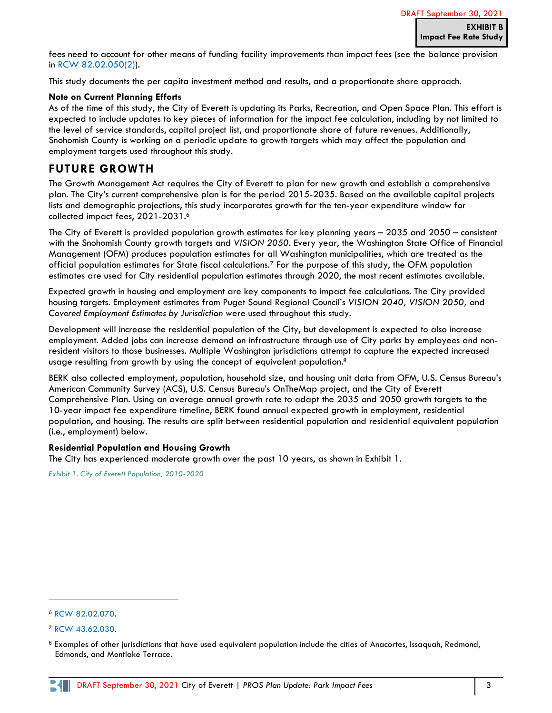fees need to account for other means of funding facility improvements than impact fees (see the balance provision in RCW [82.02.050\(2\)\)](https://app.leg.wa.gov/RCW/default.aspx?cite=82.02.050).

This study documents the per capita investment method and results, and a proportionate share approach.

#### **Note on Current Planning Efforts**

As of the time of this study, the City of Everett is updating its Parks, Recreation, and Open Space Plan. This effort is expected to include updates to key pieces of information for the impact fee calculation, including by not limited to the level of service standards, capital project list, and proportionate share of future revenues. Additionally, Snohomish County is working on a periodic update to growth targets which may affect the population and employment targets used throughout this study.

### **FUTURE GROWTH**

The Growth Management Act requires the City of Everett to plan for new growth and establish a comprehensive plan. The City's current comprehensive plan is for the period 2015-2035. Based on the available capital projects lists and demographic projections, this study incorporates growth for the ten-year expenditure window for collected impact fees, 2021-2031. 6

The City of Everett is provided population growth estimates for key planning years – 2035 and 2050 – consistent with the Snohomish County growth targets and *VISION 2050*. Every year, the Washington State Office of Financial Management (OFM) produces population estimates for all Washington municipalities, which are treated as the official population estimates for State fiscal calculations.<sup>7</sup> For the purpose of this study, the OFM population estimates are used for City residential population estimates through 2020, the most recent estimates available.

Expected growth in housing and employment are key components to impact fee calculations. The City provided housing targets. Employment estimates from Puget Sound Regional Council's *VISION 2040, VISION 2050,* and *Covered Employment Estimates by Jurisdiction* were used throughout this study.

Development will increase the residential population of the City, but development is expected to also increase employment. Added jobs can increase demand on infrastructure through use of City parks by employees and nonresident visitors to those businesses. Multiple Washington jurisdictions attempt to capture the expected increased usage resulting from growth by using the concept of equivalent population.<sup>8</sup>

BERK also collected employment, population, household size, and housing unit data from OFM, U.S. Census Bureau's American Community Survey (ACS), U.S. Census Bureau's OnTheMap project, and the City of Everett Comprehensive Plan. Using an average annual growth rate to adapt the 2035 and 2050 growth targets to the 10-year impact fee expenditure timeline, BERK found annual expected growth in employment, residential population, and housing. The results are split between residential population and residential equivalent population (i.e., employment) below.

#### <span id="page-2-1"></span>**Residential Population and Housing Growth**

The City has experienced moderate growth over the past 10 years, as shown in [Exhibit 1.](#page-2-0)

<span id="page-2-0"></span>*Exhibit 1. City of Everett Population, 2010-2020*

<sup>6</sup> RCW [82.02.070.](https://app.leg.wa.gov/RCW/default.aspx?cite=82.02.070)

<sup>7</sup> RCW [43.62.030.](https://app.leg.wa.gov/rcw/default.aspx?cite=43.62.030)

<sup>8</sup> Examples of other jurisdictions that have used equivalent population include the cities of Anacortes, Issaquah, Redmond, Edmonds, and Montlake Terrace.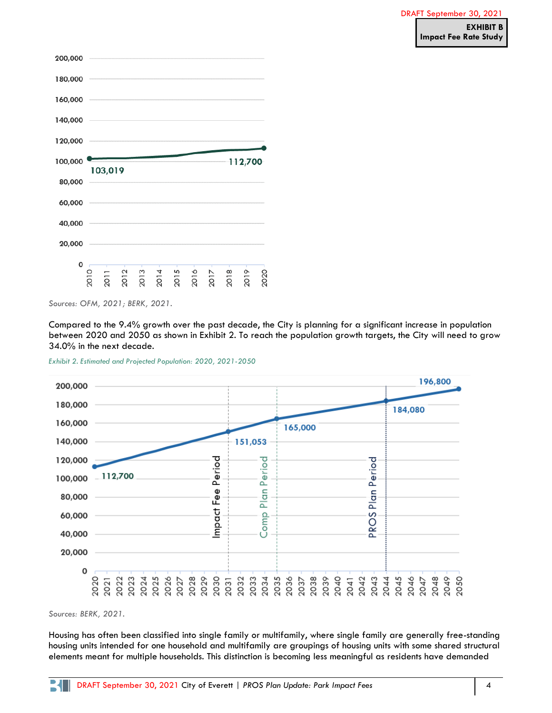



*Sources: OFM, 2021; BERK, 2021.*

Compared to the 9.4% growth over the past decade, the City is planning for a significant increase in population between 2020 and 2050 as shown in [Exhibit 2.](#page-3-0) To reach the population growth targets, the City will need to grow 34.0% in the next decade.

<span id="page-3-0"></span>*Exhibit 2. Estimated and Projected Population: 2020, 2021-2050*



*Sources: BERK, 2021.*

Housing has often been classified into single family or multifamily, where single family are generally free-standing housing units intended for one household and multifamily are groupings of housing units with some shared structural elements meant for multiple households. This distinction is becoming less meaningful as residents have demanded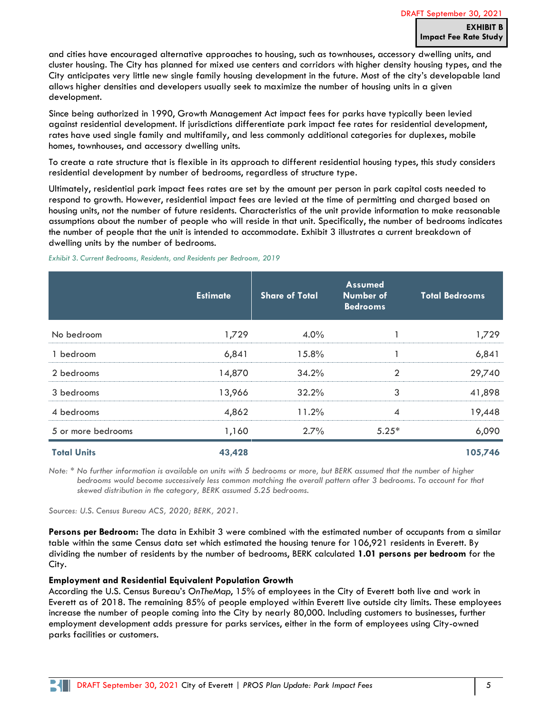and cities have encouraged alternative approaches to housing, such as townhouses, accessory dwelling units, and cluster housing. The City has planned for mixed use centers and corridors with higher density housing types, and the City anticipates very little new single family housing development in the future. Most of the city's developable land allows higher densities and developers usually seek to maximize the number of housing units in a given development.

Since being authorized in 1990, Growth Management Act impact fees for parks have typically been levied against residential development. If jurisdictions differentiate park impact fee rates for residential development, rates have used single family and multifamily, and less commonly additional categories for duplexes, mobile homes, townhouses, and accessory dwelling units.

To create a rate structure that is flexible in its approach to different residential housing types, this study considers residential development by number of bedrooms, regardless of structure type.

Ultimately, residential park impact fees rates are set by the amount per person in park capital costs needed to respond to growth. However, residential impact fees are levied at the time of permitting and charged based on housing units, not the number of future residents. Characteristics of the unit provide information to make reasonable assumptions about the number of people who will reside in that unit. Specifically, the number of bedrooms indicates the number of people that the unit is intended to accommodate. [Exhibit 3](#page-4-0) illustrates a current breakdown of dwelling units by the number of bedrooms.

#### <span id="page-4-0"></span>*Exhibit 3. Current Bedrooms, Residents, and Residents per Bedroom, 2019*

|                    | <b>Estimate</b> | <b>Share of Total</b> | <b>Assumed</b><br>Number of<br><b>Bedrooms</b> | <b>Total Bedrooms</b> |
|--------------------|-----------------|-----------------------|------------------------------------------------|-----------------------|
| No bedroom         | 1,729           | $4.0\%$               |                                                | 1,729                 |
| 1 bedroom          | 6,841           | 15.8%                 |                                                | 6,841                 |
| 2 bedrooms         | 14,870          | 34.2%                 | 2                                              | 29,740                |
| 3 bedrooms         | 13,966          | 32.2%                 | 3                                              | 41,898                |
| 4 bedrooms         | 4,862           | 11.2%                 | $\overline{4}$                                 | 19,448                |
| 5 or more bedrooms | 1,160           | 2.7%                  | $5.25*$                                        | 6,090                 |
| <b>Total Units</b> | 43,428          |                       |                                                | 105,746               |

*Note: \* No further information is available on units with 5 bedrooms or more, but BERK assumed that the number of higher*  bedrooms would become successively less common matching the overall pattern after 3 bedrooms. To account for that *skewed distribution in the category, BERK assumed 5.25 bedrooms.*

*Sources: U.S. Census Bureau ACS, 2020; BERK, 2021.*

**Persons per Bedroom:** The data in [Exhibit 3](#page-4-0) were combined with the estimated number of occupants from a similar table within the same Census data set which estimated the housing tenure for 106,921 residents in Everett. By dividing the number of residents by the number of bedrooms, BERK calculated **1.01 persons per bedroom** for the City.

#### **Employment and Residential Equivalent Population Growth**

According the U.S. Census Bureau's *OnTheMap*, 15% of employees in the City of Everett both live and work in Everett as of 2018. The remaining 85% of people employed within Everett live outside city limits. These employees increase the number of people coming into the City by nearly 80,000. Including customers to businesses, further employment development adds pressure for parks services, either in the form of employees using City-owned parks facilities or customers.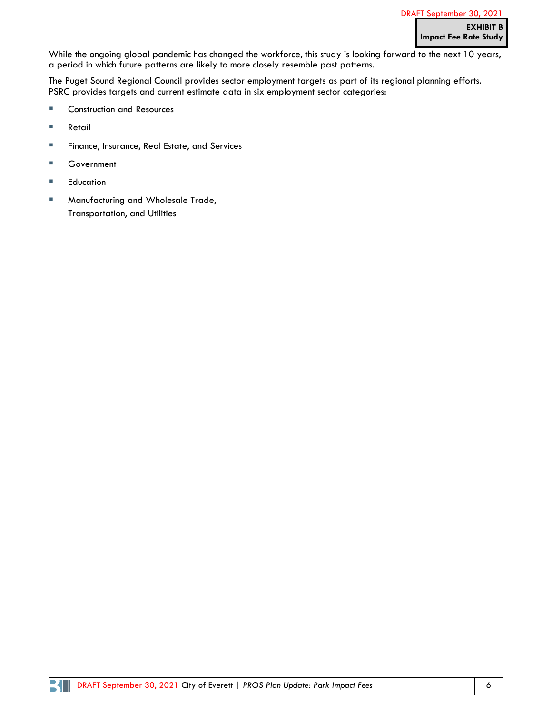While the ongoing global pandemic has changed the workforce, this study is looking forward to the next 10 years, a period in which future patterns are likely to more closely resemble past patterns.

The Puget Sound Regional Council provides sector employment targets as part of its regional planning efforts. PSRC provides targets and current estimate data in six employment sector categories:

- Construction and Resources
- **Retail**
- **EXE** Finance, Insurance, Real Estate, and Services
- Government
- Education
- Manufacturing and Wholesale Trade, Transportation, and Utilities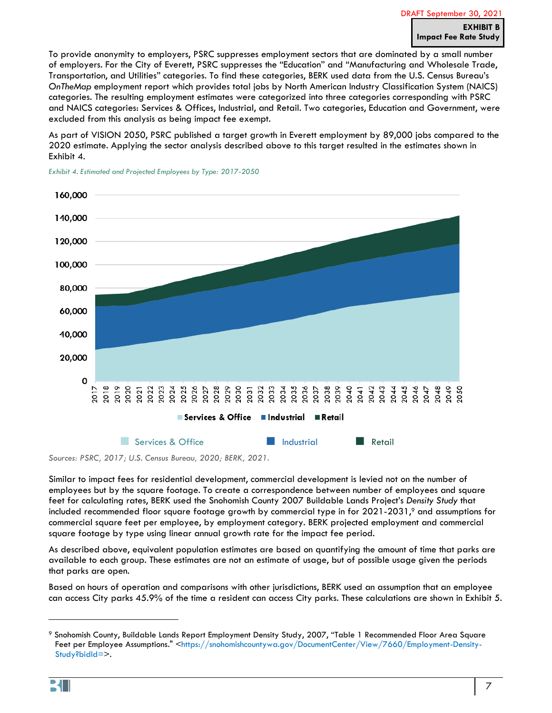To provide anonymity to employers, PSRC suppresses employment sectors that are dominated by a small number of employers. For the City of Everett, PSRC suppresses the "Education" and "Manufacturing and Wholesale Trade, Transportation, and Utilities" categories. To find these categories, BERK used data from the U.S. Census Bureau's *OnTheMap* employment report which provides total jobs by North American Industry Classification System (NAICS) categories. The resulting employment estimates were categorized into three categories corresponding with PSRC and NAICS categories: Services & Offices, Industrial, and Retail. Two categories, Education and Government, were excluded from this analysis as being impact fee exempt.

As part of VISION 2050, PSRC published a target growth in Everett employment by 89,000 jobs compared to the 2020 estimate. Applying the sector analysis described above to this target resulted in the estimates shown in [Exhibit 4.](#page-6-0)



<span id="page-6-0"></span>*Exhibit 4. Estimated and Projected Employees by Type: 2017-2050*

*Sources: PSRC, 2017; U.S. Census Bureau, 2020; BERK, 2021.*

Similar to impact fees for residential development, commercial development is levied not on the number of employees but by the square footage. To create a correspondence between number of employees and square feet for calculating rates, BERK used the Snohomish County 2007 Buildable Lands Project's *Density Study* that included recommended floor square footage growth by commercial type in for 2021-2031,<sup>9</sup> and assumptions for commercial square feet per employee, by employment category. BERK projected employment and commercial square footage by type using linear annual growth rate for the impact fee period.

As described above, equivalent population estimates are based on quantifying the amount of time that parks are available to each group. These estimates are not an estimate of usage, but of possible usage given the periods that parks are open.

Based on hours of operation and comparisons with other jurisdictions, BERK used an assumption that an employee can access City parks 45.9% of the time a resident can access City parks. These calculations are shown in [Exhibit 5.](#page-7-0)

<sup>9</sup> Snohomish County, Buildable Lands Report Employment Density Study, 2007, "Table 1 Recommended Floor Area Square Feet per Employee Assumptions." [<https://snohomishcountywa.gov/DocumentCenter/View/7660/Employment-Density-](https://snohomishcountywa.gov/DocumentCenter/View/7660/Employment-Density-Study?bidId=)[Study?bidId=>](https://snohomishcountywa.gov/DocumentCenter/View/7660/Employment-Density-Study?bidId=).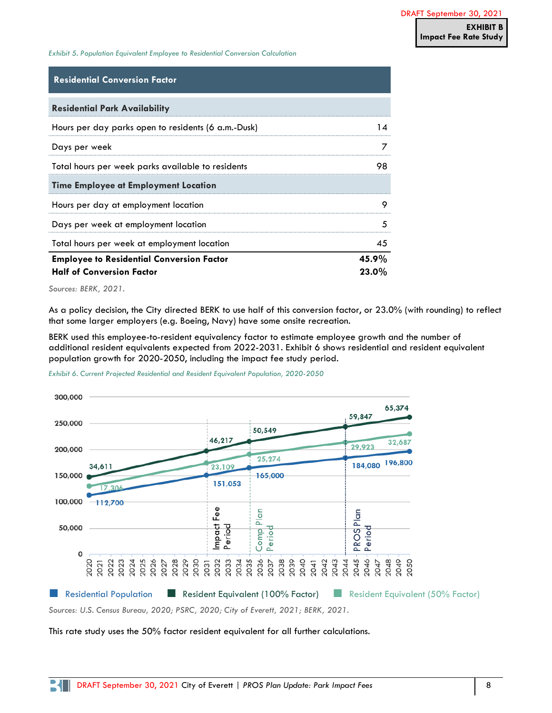<span id="page-7-0"></span>*Exhibit 5. Population Equivalent Employee to Residential Conversion Calculation*

#### **Residential Conversion Factor**

| <b>Residential Park Availability</b>                |          |
|-----------------------------------------------------|----------|
| Hours per day parks open to residents (6 a.m.-Dusk) |          |
| Days per week                                       |          |
| Total hours per week parks available to residents   | 98       |
| <b>Time Employee at Employment Location</b>         |          |
| Hours per day at employment location                |          |
| Days per week at employment location                |          |
| Total hours per week at employment location         | 45       |
| <b>Employee to Residential Conversion Factor</b>    | 45.9%    |
| <b>Half of Conversion Factor</b>                    | $23.0\%$ |

*Sources: BERK, 2021.*

As a policy decision, the City directed BERK to use half of this conversion factor, or 23.0% (with rounding) to reflect that some larger employers (e.g. Boeing, Navy) have some onsite recreation.

BERK used this employee-to-resident equivalency factor to estimate employee growth and the number of additional resident equivalents expected from 2022-2031. [Exhibit 6](#page-7-1) shows residential and resident equivalent population growth for 2020-2050, including the impact fee study period.

<span id="page-7-1"></span>



*Sources: U.S. Census Bureau, 2020; PSRC, 2020; City of Everett, 2021; BERK, 2021.*

#### This rate study uses the 50% factor resident equivalent for all further calculations.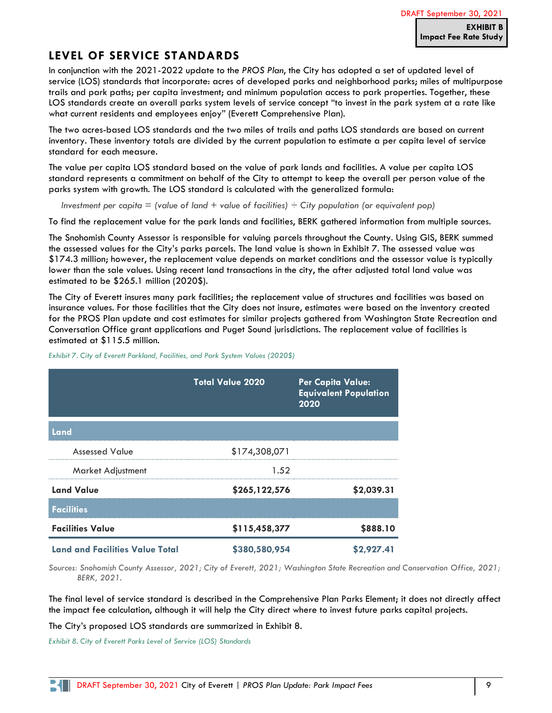## **LEVEL OF SERVICE STANDARDS**

In conjunction with the 2021-2022 update to the *PROS Plan*, the City has adopted a set of updated level of service (LOS) standards that incorporate: acres of developed parks and neighborhood parks; miles of multipurpose trails and park paths; per capita investment; and minimum population access to park properties. Together, these LOS standards create an overall parks system levels of service concept "to invest in the park system at a rate like what current residents and employees enjoy" (Everett Comprehensive Plan).

The two acres-based LOS standards and the two miles of trails and paths LOS standards are based on current inventory. These inventory totals are divided by the current population to estimate a per capita level of service standard for each measure.

The value per capita LOS standard based on the value of park lands and facilities. A value per capita LOS standard represents a commitment on behalf of the City to attempt to keep the overall per person value of the parks system with growth. The LOS standard is calculated with the generalized formula:

*Investment per capita = (value of land + value of facilities) ÷ City population (or equivalent pop)*

To find the replacement value for the park lands and facilities, BERK gathered information from multiple sources.

The Snohomish County Assessor is responsible for valuing parcels throughout the County. Using GIS, BERK summed the assessed values for the City's parks parcels. The land value is shown in [Exhibit 7.](#page-8-0) The assessed value was \$174.3 million; however, the replacement value depends on market conditions and the assessor value is typically lower than the sale values. Using recent land transactions in the city, the after adjusted total land value was estimated to be \$265.1 million (2020\$).

The City of Everett insures many park facilities; the replacement value of structures and facilities was based on insurance values. For those facilities that the City does not insure, estimates were based on the inventory created for the PROS Plan update and cost estimates for similar projects gathered from Washington State Recreation and Conversation Office grant applications and Puget Sound jurisdictions. The replacement value of facilities is estimated at \$115.5 million.

|                                        | <b>Total Value 2020</b> | <b>Per Capita Value:</b><br><b>Equivalent Population</b><br>$20\overline{20}$ |
|----------------------------------------|-------------------------|-------------------------------------------------------------------------------|
| Land                                   |                         |                                                                               |
| <b>Assessed Value</b>                  | \$174,308,071           |                                                                               |
| Market Adjustment                      | 1.52                    |                                                                               |
| <b>Land Value</b>                      | \$265,122,576           | \$2,039.31                                                                    |
| <b>Facilities</b>                      |                         |                                                                               |
| <b>Facilities Value</b>                | \$115,458,377           | \$888.10                                                                      |
| <b>Land and Facilities Value Total</b> | \$380,580,954           | \$2,927.41                                                                    |

<span id="page-8-0"></span>*Exhibit 7. City of Everett Parkland, Facilities, and Park System Values (2020\$)*

*Sources: Snohomish County Assessor, 2021; City of Everett, 2021; Washington State Recreation and Conservation Office, 2021; BERK, 2021.*

The final level of service standard is described in the Comprehensive Plan Parks Element; it does not directly affect the impact fee calculation, although it will help the City direct where to invest future parks capital projects.

The City's proposed LOS standards are summarized in [Exhibit 8.](#page-8-1)

<span id="page-8-1"></span>*Exhibit 8. City of Everett Parks Level of Service (LOS) Standards*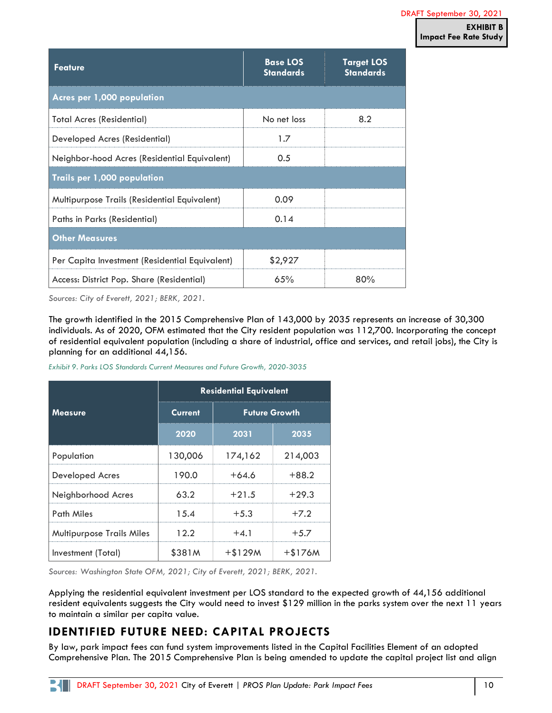| <b>Feature</b>                                 | <b>Base LOS</b><br><b>Standards</b> | <b>Target LOS</b><br><b>Standards</b> |
|------------------------------------------------|-------------------------------------|---------------------------------------|
| Acres per 1,000 population                     |                                     |                                       |
| <b>Total Acres (Residential)</b>               | No net loss                         | 8.2                                   |
| Developed Acres (Residential)                  | 1.7                                 |                                       |
| Neighbor-hood Acres (Residential Equivalent)   | 0.5                                 |                                       |
| Trails per 1,000 population                    |                                     |                                       |
| Multipurpose Trails (Residential Equivalent)   | 0.09                                |                                       |
| Paths in Parks (Residential)                   | 0.14                                |                                       |
| <b>Other Measures</b>                          |                                     |                                       |
| Per Capita Investment (Residential Equivalent) | \$2,927                             |                                       |
| Access: District Pop. Share (Residential)      | 65%                                 | 80%                                   |

*Sources: City of Everett, 2021; BERK, 2021.*

The growth identified in the 2015 Comprehensive Plan of 143,000 by 2035 represents an increase of 30,300 individuals. As of 2020, OFM estimated that the City resident population was 112,700. Incorporating the concept of residential equivalent population (including a share of industrial, office and services, and retail jobs), the City is planning for an additional 44,156.

|                                  | <b>Residential Equivalent</b> |                      |          |  |  |
|----------------------------------|-------------------------------|----------------------|----------|--|--|
| <b>Measure</b>                   | <b>Current</b>                | <b>Future Growth</b> |          |  |  |
|                                  | 2020                          | 2031                 | 2035     |  |  |
| Population                       | 130,006                       | 174,162              | 214,003  |  |  |
| <b>Developed Acres</b>           | 190.0                         | $+64.6$              | $+88.2$  |  |  |
| Neighborhood Acres               | 63.2                          | $+21.5$              | $+29.3$  |  |  |
| Path Miles                       | 1.5.4                         | $+5.3$               | $+7.2$   |  |  |
| <b>Multipurpose Trails Miles</b> | 12.2                          | $+4.1$               | $+5.7$   |  |  |
| Investment (Total)               | \$381M                        | $+ $129M$            | $+$176M$ |  |  |

*Exhibit 9. Parks LOS Standards Current Measures and Future Growth, 2020-3035*

*Sources: Washington State OFM, 2021; City of Everett, 2021; BERK, 2021.*

Applying the residential equivalent investment per LOS standard to the expected growth of 44,156 additional resident equivalents suggests the City would need to invest \$129 million in the parks system over the next 11 years to maintain a similar per capita value.

# **IDENTIFIED FUTURE NEED: CAPITAL PROJECTS**

By law, park impact fees can fund system improvements listed in the Capital Facilities Element of an adopted Comprehensive Plan. The 2015 Comprehensive Plan is being amended to update the capital project list and align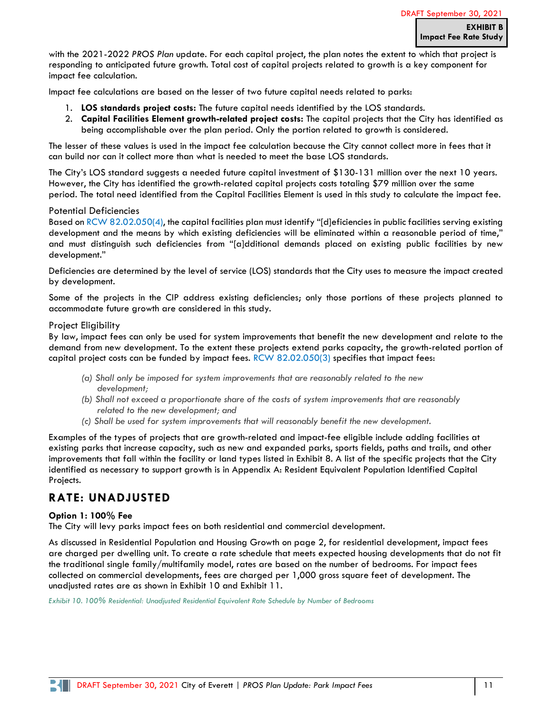with the 2021-2022 *PROS Plan* update. For each capital project, the plan notes the extent to which that project is responding to anticipated future growth. Total cost of capital projects related to growth is a key component for impact fee calculation.

Impact fee calculations are based on the lesser of two future capital needs related to parks:

- 1. **LOS standards project costs:** The future capital needs identified by the LOS standards.
- 2. **Capital Facilities Element growth-related project costs:** The capital projects that the City has identified as being accomplishable over the plan period. Only the portion related to growth is considered.

The lesser of these values is used in the impact fee calculation because the City cannot collect more in fees that it can build nor can it collect more than what is needed to meet the base LOS standards.

The City's LOS standard suggests a needed future capital investment of \$130-131 million over the next 10 years. However, the City has identified the growth-related capital projects costs totaling \$79 million over the same period. The total need identified from the Capital Facilities Element is used in this study to calculate the impact fee.

#### Potential Deficiencies

Based on [RCW 82.02.050\(4\)](https://app.leg.wa.gov/RCW/default.aspx?cite=82.02.050), the capital facilities plan must identify "[d]eficiencies in public facilities serving existing development and the means by which existing deficiencies will be eliminated within a reasonable period of time," and must distinguish such deficiencies from "[a]dditional demands placed on existing public facilities by new development."

Deficiencies are determined by the level of service (LOS) standards that the City uses to measure the impact created by development.

Some of the projects in the CIP address existing deficiencies; only those portions of these projects planned to accommodate future growth are considered in this study.

#### Project Eligibility

By law, impact fees can only be used for system improvements that benefit the new development and relate to the demand from new development. To the extent these projects extend parks capacity, the growth-related portion of capital project costs can be funded by impact fees. [RCW 82.02.050\(3\)](https://app.leg.wa.gov/RCW/default.aspx?cite=82.02.050) specifies that impact fees:

- *(a) Shall only be imposed for system improvements that are reasonably related to the new development;*
- *(b) Shall not exceed a proportionate share of the costs of system improvements that are reasonably related to the new development; and*
- *(c) Shall be used for system improvements that will reasonably benefit the new development.*

Examples of the types of projects that are growth-related and impact-fee eligible include adding facilities at existing parks that increase capacity, such as new and expanded parks, sports fields, paths and trails, and other improvements that fall within the facility or land types listed in [Exhibit 8.](#page-8-1) A list of the specific projects that the City identified as necessary to support growth is in Appendix [A: Resident Equivalent Population Identified Capital](#page-16-0)  [Projects.](#page-16-0)

## **RATE: UNADJUSTED**

#### **Option 1: 100% Fee**

The City will levy parks impact fees on both residential and commercial development.

As discussed in Residential [Population and Housing Growth](#page-2-1) on page [2,](#page-1-0) for residential development, impact fees are charged per dwelling unit. To create a rate schedule that meets expected housing developments that do not fit the traditional single family/multifamily model, rates are based on the number of bedrooms. For impact fees collected on commercial developments, fees are charged per 1,000 gross square feet of development. The unadjusted rates are as shown in [Exhibit 10](#page-10-0) and [Exhibit 11.](#page-11-0)

<span id="page-10-0"></span>*Exhibit 10. 100% Residential: Unadjusted Residential Equivalent Rate Schedule by Number of Bedrooms*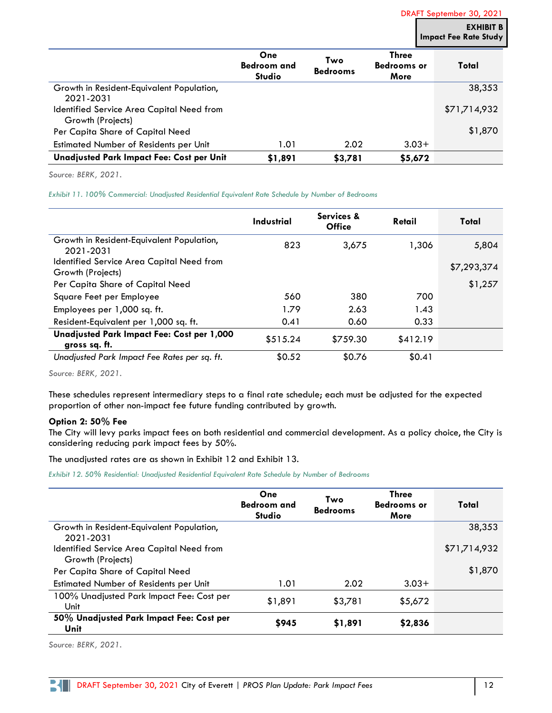|                                                                | One<br><b>Bedroom and</b><br><b>Studio</b> | Two<br><b>Bedrooms</b> | <b>Three</b><br><b>Bedrooms or</b><br>More | Total        |
|----------------------------------------------------------------|--------------------------------------------|------------------------|--------------------------------------------|--------------|
| Growth in Resident-Equivalent Population,<br>2021-2031         |                                            |                        |                                            | 38,353       |
| Identified Service Area Capital Need from<br>Growth (Projects) |                                            |                        |                                            | \$71,714,932 |
| Per Capita Share of Capital Need                               |                                            |                        |                                            | \$1,870      |
| Estimated Number of Residents per Unit                         | 1.01                                       | 2.02                   | $3.03+$                                    |              |
| Unadjusted Park Impact Fee: Cost per Unit                      | \$1,891                                    | \$3,781                | \$5,672                                    |              |

*Source: BERK, 2021.*

<span id="page-11-0"></span>*Exhibit 11. 100% Commercial: Unadjusted Residential Equivalent Rate Schedule by Number of Bedrooms*

|                                                             | Industrial | Services &<br><b>Office</b> | Retail   | Total       |
|-------------------------------------------------------------|------------|-----------------------------|----------|-------------|
| Growth in Resident-Equivalent Population,<br>2021-2031      | 823        | 3,675                       | 1,306    | 5,804       |
| Identified Service Area Capital Need from                   |            |                             |          | \$7,293,374 |
| Growth (Projects)                                           |            |                             |          |             |
| Per Capita Share of Capital Need                            |            |                             |          | \$1,257     |
| Square Feet per Employee                                    | 560        | 380                         | 700      |             |
| Employees per 1,000 sq. ft.                                 | 1.79       | 2.63                        | 1.43     |             |
| Resident-Equivalent per 1,000 sq. ft.                       | 0.41       | 0.60                        | 0.33     |             |
| Unadjusted Park Impact Fee: Cost per 1,000<br>gross sq. ft. | \$515.24   | \$759.30                    | \$412.19 |             |
| Unadjusted Park Impact Fee Rates per sq. ft.                | \$0.52     | \$0.76                      | \$0.41   |             |

*Source: BERK, 2021.*

These schedules represent intermediary steps to a final rate schedule; each must be adjusted for the expected proportion of other non-impact fee future funding contributed by growth.

#### **Option 2: 50% Fee**

The City will levy parks impact fees on both residential and commercial development. As a policy choice, the City is considering reducing park impact fees by 50%.

The unadjusted rates are as shown in [Exhibit 12](#page-11-1) and [Exhibit 13.](#page-12-0)

<span id="page-11-1"></span>*Exhibit 12. 50% Residential: Unadjusted Residential Equivalent Rate Schedule by Number of Bedrooms*

|                                                                | One<br><b>Bedroom and</b><br><b>Studio</b> | Two<br><b>Bedrooms</b> | <b>Three</b><br><b>Bedrooms or</b><br>More | Total        |
|----------------------------------------------------------------|--------------------------------------------|------------------------|--------------------------------------------|--------------|
| Growth in Resident-Equivalent Population,<br>2021-2031         |                                            |                        |                                            | 38,353       |
| Identified Service Area Capital Need from<br>Growth (Projects) |                                            |                        |                                            | \$71,714,932 |
| Per Capita Share of Capital Need                               |                                            |                        |                                            | \$1,870      |
| Estimated Number of Residents per Unit                         | 1.01                                       | 2.02                   | $3.03+$                                    |              |
| 100% Unadjusted Park Impact Fee: Cost per<br>Unit              | \$1,891                                    | \$3,781                | \$5,672                                    |              |
| 50% Unadjusted Park Impact Fee: Cost per<br>Unit               | \$945                                      | \$1,891                | \$2,836                                    |              |

*Source: BERK, 2021.*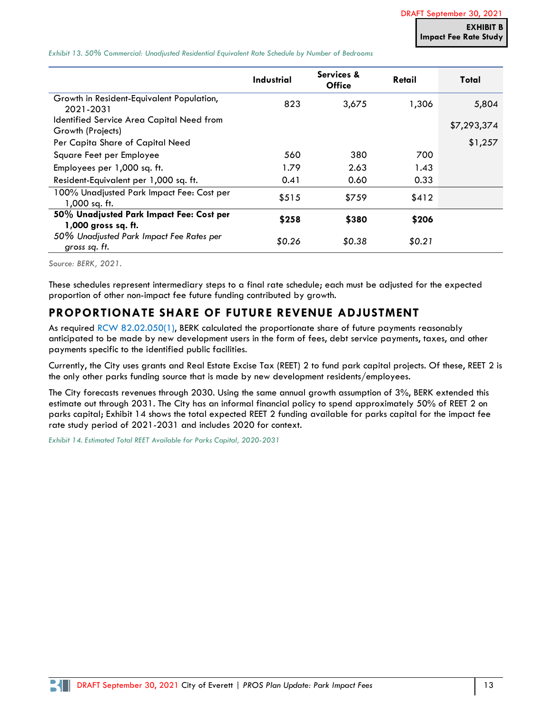<span id="page-12-0"></span>*Exhibit 13. 50% Commercial: Unadjusted Residential Equivalent Rate Schedule by Number of Bedrooms*

|                                                                 | <b>Industrial</b> | Services &<br><b>Office</b> | Retail | Total       |
|-----------------------------------------------------------------|-------------------|-----------------------------|--------|-------------|
| Growth in Resident-Equivalent Population,<br>2021-2031          | 823               | 3,675                       | 1,306  | 5,804       |
| Identified Service Area Capital Need from<br>Growth (Projects)  |                   |                             |        | \$7,293,374 |
| Per Capita Share of Capital Need                                |                   |                             |        | \$1,257     |
| Square Feet per Employee                                        | 560               | 380                         | 700    |             |
| Employees per 1,000 sq. ft.                                     | 1.79              | 2.63                        | 1.43   |             |
| Resident-Equivalent per 1,000 sq. ft.                           | 0.41              | 0.60                        | 0.33   |             |
| 100% Unadjusted Park Impact Fee: Cost per<br>1,000 sq. ft.      | \$515             | \$759                       | \$412  |             |
| 50% Unadjusted Park Impact Fee: Cost per<br>1,000 gross sq. ft. | \$258             | \$380                       | \$206  |             |
| 50% Unadjusted Park Impact Fee Rates per<br>gross sq. ft.       | \$0.26            | \$0.38                      | \$0.21 |             |

*Source: BERK, 2021.*

These schedules represent intermediary steps to a final rate schedule; each must be adjusted for the expected proportion of other non-impact fee future funding contributed by growth.

## **PROPORTIONATE SHARE OF FUTURE REVENUE ADJUSTMENT**

As required [RCW 82.02.050\(1\),](https://app.leg.wa.gov/RCW/default.aspx?cite=82.02.050) BERK calculated the proportionate share of future payments reasonably anticipated to be made by new development users in the form of fees, debt service payments, taxes, and other payments specific to the identified public facilities.

Currently, the City uses grants and Real Estate Excise Tax (REET) 2 to fund park capital projects. Of these, REET 2 is the only other parks funding source that is made by new development residents/employees.

The City forecasts revenues through 2030. Using the same annual growth assumption of 3%, BERK extended this estimate out through 2031. The City has an informal financial policy to spend approximately 50% of REET 2 on parks capital; [Exhibit 14](#page-12-1) shows the total expected REET 2 funding available for parks capital for the impact fee rate study period of 2021-2031 and includes 2020 for context.

<span id="page-12-1"></span>*Exhibit 14. Estimated Total REET Available for Parks Capital, 2020-2031*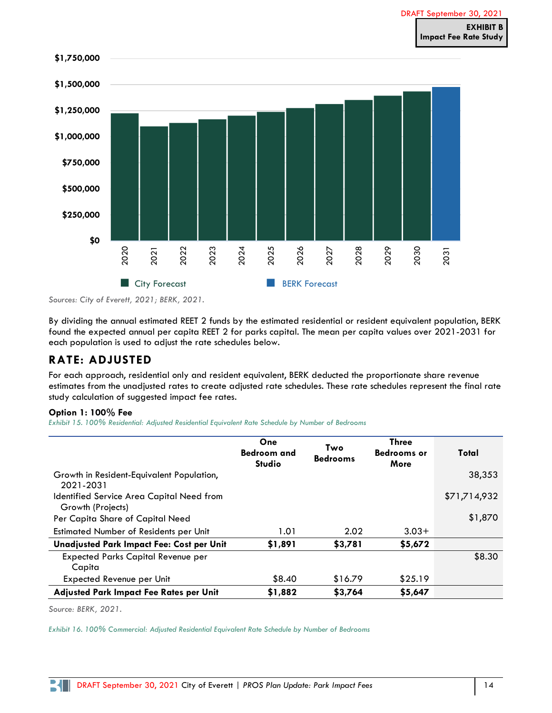

*Sources: City of Everett, 2021; BERK, 2021.*

By dividing the annual estimated REET 2 funds by the estimated residential or resident equivalent population, BERK found the expected annual per capita REET 2 for parks capital. The mean per capita values over 2021-2031 for each population is used to adjust the rate schedules below.

# **RATE: ADJUSTED**

For each approach, residential only and resident equivalent, BERK deducted the proportionate share revenue estimates from the unadjusted rates to create adjusted rate schedules. These rate schedules represent the final rate study calculation of suggested impact fee rates.

#### **Option 1: 100% Fee**

*Exhibit 15. 100% Residential: Adjusted Residential Equivalent Rate Schedule by Number of Bedrooms*

|                                                                | One<br><b>Bedroom and</b><br><b>Studio</b> | Two<br><b>Bedrooms</b> | <b>Three</b><br><b>Bedrooms or</b><br>More | Total        |
|----------------------------------------------------------------|--------------------------------------------|------------------------|--------------------------------------------|--------------|
| Growth in Resident-Equivalent Population,<br>2021-2031         |                                            |                        |                                            | 38,353       |
| Identified Service Area Capital Need from<br>Growth (Projects) |                                            |                        |                                            | \$71,714,932 |
| Per Capita Share of Capital Need                               |                                            |                        |                                            | \$1,870      |
| Estimated Number of Residents per Unit                         | 1.01                                       | 2.02                   | $3.03+$                                    |              |
| Unadjusted Park Impact Fee: Cost per Unit                      | \$1,891                                    | \$3,781                | \$5,672                                    |              |
| <b>Expected Parks Capital Revenue per</b><br>Capita            |                                            |                        |                                            | \$8.30       |
| Expected Revenue per Unit                                      | \$8.40                                     | \$16.79                | \$25.19                                    |              |
| Adjusted Park Impact Fee Rates per Unit                        | \$1,882                                    | \$3,764                | \$5,647                                    |              |

*Source: BERK, 2021.*

*Exhibit 16. 100% Commercial: Adjusted Residential Equivalent Rate Schedule by Number of Bedrooms*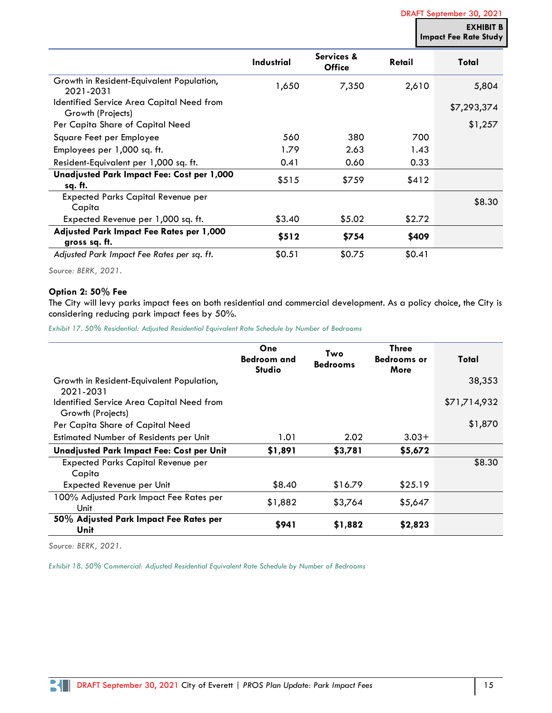DRAFT September 30, 2021

**EXHIBIT Impact Fee Rate Study**

|                                                                | <b>Industrial</b> | Services &<br><b>Office</b> | Retail | Total       |
|----------------------------------------------------------------|-------------------|-----------------------------|--------|-------------|
| Growth in Resident-Equivalent Population,<br>2021-2031         | 1,650             | 7,350                       | 2,610  | 5,804       |
| Identified Service Area Capital Need from<br>Growth (Projects) |                   |                             |        | \$7,293,374 |
| Per Capita Share of Capital Need                               |                   |                             |        | \$1,257     |
| Square Feet per Employee                                       | 560               | 380                         | 700    |             |
| Employees per 1,000 sq. ft.                                    | 1.79              | 2.63                        | 1.43   |             |
| Resident-Equivalent per 1,000 sq. ft.                          | 0.41              | 0.60                        | 0.33   |             |
| Unadjusted Park Impact Fee: Cost per 1,000<br>sq. ft.          | \$515             | \$759                       | \$412  |             |
| <b>Expected Parks Capital Revenue per</b><br>Capita            |                   |                             |        | \$8.30      |
| Expected Revenue per 1,000 sq. ft.                             | \$3.40            | \$5.02                      | \$2.72 |             |
| Adjusted Park Impact Fee Rates per 1,000<br>gross sq. ft.      | \$512             | \$754                       | \$409  |             |
| Adjusted Park Impact Fee Rates per sq. ft.                     | \$0.51            | \$0.75                      | \$0.41 |             |

*Source: BERK, 2021.*

#### **Option 2: 50% Fee**

The City will levy parks impact fees on both residential and commercial development. As a policy choice, the City is considering reducing park impact fees by 50%.

*Exhibit 17. 50% Residential: Adjusted Residential Equivalent Rate Schedule by Number of Bedrooms*

|                                                                | One<br><b>Bedroom and</b><br><b>Studio</b> | Two<br><b>Bedrooms</b> | <b>Three</b><br><b>Bedrooms or</b><br>More | Total        |
|----------------------------------------------------------------|--------------------------------------------|------------------------|--------------------------------------------|--------------|
| Growth in Resident-Equivalent Population,<br>2021-2031         |                                            |                        |                                            | 38,353       |
| Identified Service Area Capital Need from<br>Growth (Projects) |                                            |                        |                                            | \$71,714,932 |
| Per Capita Share of Capital Need                               |                                            |                        |                                            | \$1,870      |
| Estimated Number of Residents per Unit                         | 1.01                                       | 2.02                   | $3.03+$                                    |              |
| Unadjusted Park Impact Fee: Cost per Unit                      | \$1,891                                    | \$3,781                | \$5,672                                    |              |
| <b>Expected Parks Capital Revenue per</b><br>Capita            |                                            |                        |                                            | \$8.30       |
| Expected Revenue per Unit                                      | \$8.40                                     | \$16.79                | \$25.19                                    |              |
| 100% Adjusted Park Impact Fee Rates per<br>Unit                | \$1,882                                    | \$3,764                | \$5,647                                    |              |
| 50% Adjusted Park Impact Fee Rates per<br>Unit                 | \$941                                      | \$1,882                | \$2,823                                    |              |

*Source: BERK, 2021.*

K

*Exhibit 18. 50% Commercial: Adjusted Residential Equivalent Rate Schedule by Number of Bedrooms*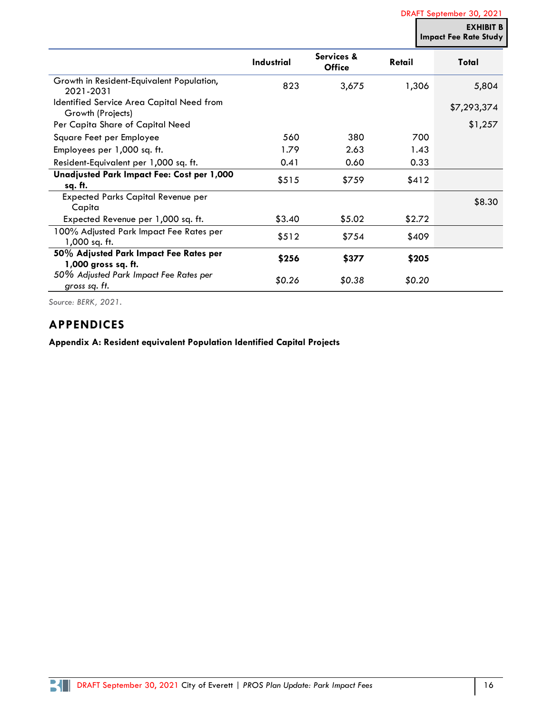DRAFT September 30, 2021

**EXHIBIT B Impact Fee Rate Study**

|                                                                | <b>Industrial</b> | Services &<br><b>Office</b> | Retail | Total       |
|----------------------------------------------------------------|-------------------|-----------------------------|--------|-------------|
| Growth in Resident-Equivalent Population,<br>2021-2031         | 823               | 3,675                       | 1,306  | 5,804       |
| Identified Service Area Capital Need from<br>Growth (Projects) |                   |                             |        | \$7,293,374 |
| Per Capita Share of Capital Need                               |                   |                             |        | \$1,257     |
| Square Feet per Employee                                       | 560               | 380                         | 700    |             |
| Employees per 1,000 sq. ft.                                    | 1.79              | 2.63                        | 1.43   |             |
| Resident-Equivalent per 1,000 sq. ft.                          | 0.41              | 0.60                        | 0.33   |             |
| Unadjusted Park Impact Fee: Cost per 1,000                     | \$515             | \$759                       | \$412  |             |
| sq. ft.                                                        |                   |                             |        |             |
| <b>Expected Parks Capital Revenue per</b><br>Capita            |                   |                             |        | \$8.30      |
| Expected Revenue per 1,000 sq. ft.                             | \$3.40            | \$5.02                      | \$2.72 |             |
| 100% Adjusted Park Impact Fee Rates per<br>1,000 sq. ft.       | \$512             | \$754                       | \$409  |             |
| 50% Adjusted Park Impact Fee Rates per<br>1,000 gross sq. ft.  | \$256             | \$377                       | \$205  |             |
| 50% Adjusted Park Impact Fee Rates per<br>gross sq. ft.        | \$0.26            | \$0.38                      | \$0.20 |             |

*Source: BERK, 2021.*

## **APPENDICES**

**Appendix A: Resident equivalent Population Identified Capital Projects**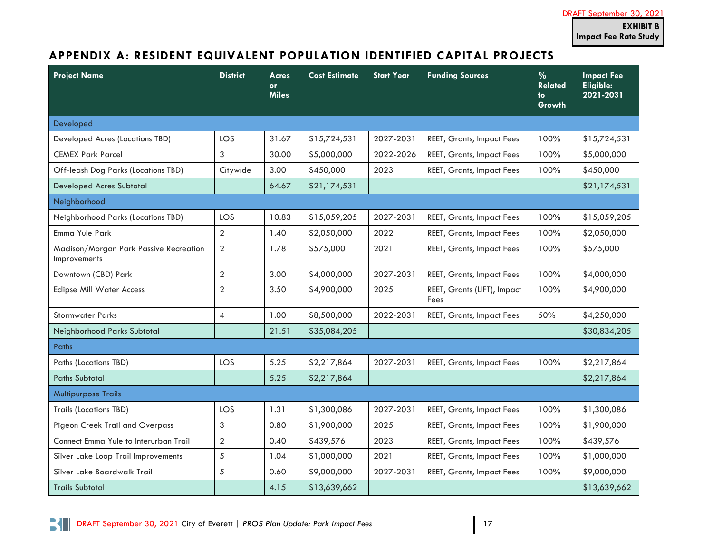# **APPENDIX A: RESIDENT EQUIVALENT POPULATION IDENTIFIED CAPITAL PROJECTS**

<span id="page-16-0"></span>

| <b>Project Name</b>                                           | <b>District</b> | Acres<br><b>or</b><br><b>Miles</b> | <b>Cost Estimate</b> | <b>Start Year</b> | <b>Funding Sources</b>              | $\frac{0}{0}$<br><b>Related</b><br>to<br><b>Growth</b> | <b>Impact Fee</b><br>Eligible:<br>2021-2031 |
|---------------------------------------------------------------|-----------------|------------------------------------|----------------------|-------------------|-------------------------------------|--------------------------------------------------------|---------------------------------------------|
| Developed                                                     |                 |                                    |                      |                   |                                     |                                                        |                                             |
| Developed Acres (Locations TBD)                               | <b>LOS</b>      | 31.67                              | \$15,724,531         | 2027-2031         | <b>REET, Grants, Impact Fees</b>    | 100%                                                   | \$15,724,531                                |
| <b>CEMEX Park Parcel</b>                                      | 3               | 30.00                              | \$5,000,000          | 2022-2026         | <b>REET, Grants, Impact Fees</b>    | 100%                                                   | \$5,000,000                                 |
| Off-leash Dog Parks (Locations TBD)                           | Citywide        | 3.00                               | \$450,000            | 2023              | <b>REET, Grants, Impact Fees</b>    | 100%                                                   | \$450,000                                   |
| Developed Acres Subtotal                                      |                 | 64.67                              | \$21,174,531         |                   |                                     |                                                        | \$21,174,531                                |
| Neighborhood                                                  |                 |                                    |                      |                   |                                     |                                                        |                                             |
| Neighborhood Parks (Locations TBD)                            | LOS             | 10.83                              | \$15,059,205         | 2027-2031         | <b>REET, Grants, Impact Fees</b>    | 100%                                                   | \$15,059,205                                |
| Emma Yule Park                                                | $\overline{2}$  | 1.40                               | \$2,050,000          | 2022              | <b>REET, Grants, Impact Fees</b>    | 100%                                                   | \$2,050,000                                 |
| Madison/Morgan Park Passive Recreation<br><b>Improvements</b> | $\overline{2}$  | 1.78                               | \$575,000            | 2021              | <b>REET, Grants, Impact Fees</b>    | 100%                                                   | \$575,000                                   |
| Downtown (CBD) Park                                           | $\overline{2}$  | 3.00                               | \$4,000,000          | 2027-2031         | <b>REET, Grants, Impact Fees</b>    | 100%                                                   | \$4,000,000                                 |
| <b>Eclipse Mill Water Access</b>                              | $\overline{2}$  | 3.50                               | \$4,900,000          | 2025              | REET, Grants (LIFT), Impact<br>Fees | 100%                                                   | \$4,900,000                                 |
| <b>Stormwater Parks</b>                                       | $\overline{4}$  | 1.00                               | \$8,500,000          | 2022-2031         | <b>REET, Grants, Impact Fees</b>    | 50%                                                    | \$4,250,000                                 |
| Neighborhood Parks Subtotal                                   |                 | 21.51                              | \$35,084,205         |                   |                                     |                                                        | \$30,834,205                                |
| Paths                                                         |                 |                                    |                      |                   |                                     |                                                        |                                             |
| Paths (Locations TBD)                                         | LOS             | 5.25                               | \$2,217,864          | 2027-2031         | <b>REET, Grants, Impact Fees</b>    | 100%                                                   | \$2,217,864                                 |
| <b>Paths Subtotal</b>                                         |                 | 5.25                               | \$2,217,864          |                   |                                     |                                                        | \$2,217,864                                 |
| <b>Multipurpose Trails</b>                                    |                 |                                    |                      |                   |                                     |                                                        |                                             |
| <b>Trails (Locations TBD)</b>                                 | LOS             | 1.31                               | \$1,300,086          | 2027-2031         | <b>REET, Grants, Impact Fees</b>    | 100%                                                   | \$1,300,086                                 |
| Pigeon Creek Trail and Overpass                               | 3               | 0.80                               | \$1,900,000          | 2025              | <b>REET, Grants, Impact Fees</b>    | 100%                                                   | \$1,900,000                                 |
| Connect Emma Yule to Interurban Trail                         | $\overline{2}$  | 0.40                               | \$439,576            | 2023              | <b>REET, Grants, Impact Fees</b>    | 100%                                                   | \$439,576                                   |
| Silver Lake Loop Trail Improvements                           | 5               | 1.04                               | \$1,000,000          | 2021              | <b>REET, Grants, Impact Fees</b>    | 100%                                                   | \$1,000,000                                 |
| Silver Lake Boardwalk Trail                                   | 5               | 0.60                               | \$9,000,000          | 2027-2031         | <b>REET, Grants, Impact Fees</b>    | 100%                                                   | \$9,000,000                                 |
| <b>Trails Subtotal</b>                                        |                 | 4.15                               | \$13,639,662         |                   |                                     |                                                        | \$13,639,662                                |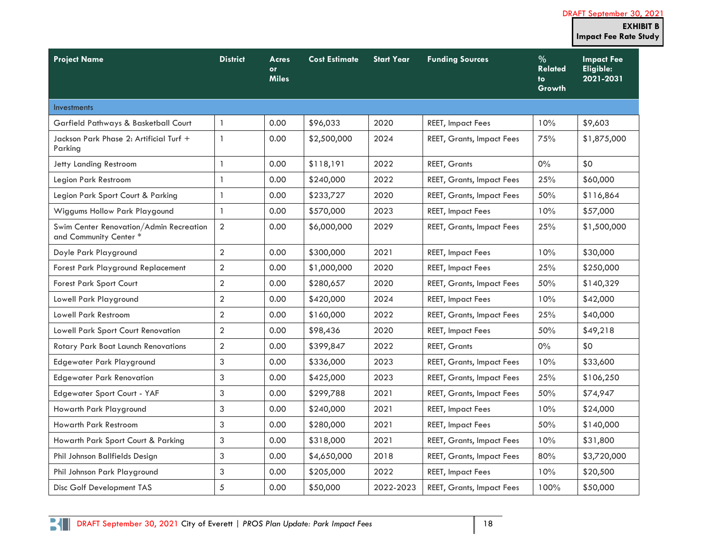|                                                                   |                  |                                    |                      |                   |                                  |                                         | <b>EXHIBIT B</b><br><b>Impact Fee Rate Study</b> |
|-------------------------------------------------------------------|------------------|------------------------------------|----------------------|-------------------|----------------------------------|-----------------------------------------|--------------------------------------------------|
| <b>Project Name</b>                                               | <b>District</b>  | Acres<br><b>or</b><br><b>Miles</b> | <b>Cost Estimate</b> | <b>Start Year</b> | <b>Funding Sources</b>           | $\%$<br><b>Related</b><br>to.<br>Growth | <b>Impact Fee</b><br>Eligible:<br>2021-2031      |
| <b>Investments</b>                                                |                  |                                    |                      |                   |                                  |                                         |                                                  |
| Garfield Pathways & Basketball Court                              | $\mathbf{1}$     | 0.00                               | \$96,033             | 2020              | <b>REET, Impact Fees</b>         | 10%                                     | \$9,603                                          |
| Jackson Park Phase 2: Artificial Turf +<br>Parking                | $\mathbf{1}$     | 0.00                               | \$2,500,000          | 2024              | <b>REET, Grants, Impact Fees</b> | 75%                                     | \$1,875,000                                      |
| Jetty Landing Restroom                                            | $\mathbf{1}$     | 0.00                               | \$118,191            | 2022              | <b>REET, Grants</b>              | $0\%$                                   | \$0                                              |
| Legion Park Restroom                                              | $\mathbf{1}$     | 0.00                               | \$240,000            | 2022              | <b>REET, Grants, Impact Fees</b> | 25%                                     | \$60,000                                         |
| Legion Park Sport Court & Parking                                 | $\mathbf{1}$     | 0.00                               | \$233,727            | 2020              | <b>REET, Grants, Impact Fees</b> | 50%                                     | \$116,864                                        |
| Wiggums Hollow Park Playgound                                     | $\mathbf{1}$     | 0.00                               | \$570,000            | 2023              | <b>REET, Impact Fees</b>         | 10%                                     | \$57,000                                         |
| Swim Center Renovation/Admin Recreation<br>and Community Center * | $\overline{2}$   | 0.00                               | \$6,000,000          | 2029              | <b>REET, Grants, Impact Fees</b> | 25%                                     | \$1,500,000                                      |
| Doyle Park Playground                                             | $\overline{2}$   | 0.00                               | \$300,000            | 2021              | <b>REET, Impact Fees</b>         | 10%                                     | \$30,000                                         |
| Forest Park Playground Replacement                                | $\overline{2}$   | 0.00                               | \$1,000,000          | 2020              | <b>REET, Impact Fees</b>         | 25%                                     | \$250,000                                        |
| <b>Forest Park Sport Court</b>                                    | $\sqrt{2}$       | 0.00                               | \$280,657            | 2020              | <b>REET, Grants, Impact Fees</b> | 50%                                     | \$140,329                                        |
| Lowell Park Playground                                            | $\overline{2}$   | 0.00                               | \$420,000            | 2024              | <b>REET, Impact Fees</b>         | 10%                                     | \$42,000                                         |
| <b>Lowell Park Restroom</b>                                       | $\boldsymbol{2}$ | 0.00                               | \$160,000            | 2022              | <b>REET, Grants, Impact Fees</b> | 25%                                     | \$40,000                                         |
| Lowell Park Sport Court Renovation                                | $\overline{2}$   | 0.00                               | \$98,436             | 2020              | <b>REET, Impact Fees</b>         | 50%                                     | \$49,218                                         |
| Rotary Park Boat Launch Renovations                               | $\overline{2}$   | 0.00                               | \$399,847            | 2022              | <b>REET, Grants</b>              | $0\%$                                   | \$0                                              |
| Edgewater Park Playground                                         | 3                | 0.00                               | \$336,000            | 2023              | <b>REET, Grants, Impact Fees</b> | 10%                                     | \$33,600                                         |
| <b>Edgewater Park Renovation</b>                                  | 3                | 0.00                               | \$425,000            | 2023              | <b>REET, Grants, Impact Fees</b> | 25%                                     | \$106,250                                        |
| Edgewater Sport Court - YAF                                       | 3                | 0.00                               | \$299,788            | 2021              | <b>REET, Grants, Impact Fees</b> | 50%                                     | \$74,947                                         |
| Howarth Park Playground                                           | 3                | 0.00                               | \$240,000            | 2021              | <b>REET, Impact Fees</b>         | 10%                                     | \$24,000                                         |
| Howarth Park Restroom                                             | 3                | 0.00                               | \$280,000            | 2021              | <b>REET, Impact Fees</b>         | 50%                                     | \$140,000                                        |
| Howarth Park Sport Court & Parking                                | 3                | 0.00                               | \$318,000            | 2021              | <b>REET, Grants, Impact Fees</b> | 10%                                     | \$31,800                                         |
| Phil Johnson Ballfields Design                                    | 3                | 0.00                               | \$4,650,000          | 2018              | <b>REET, Grants, Impact Fees</b> | 80%                                     | \$3,720,000                                      |
| Phil Johnson Park Playground                                      | 3                | 0.00                               | \$205,000            | 2022              | <b>REET, Impact Fees</b>         | 10%                                     | \$20,500                                         |
| Disc Golf Development TAS                                         | 5                | 0.00                               | \$50,000             | 2022-2023         | <b>REET, Grants, Impact Fees</b> | 100%                                    | \$50,000                                         |

DRAFT September 30, 2021